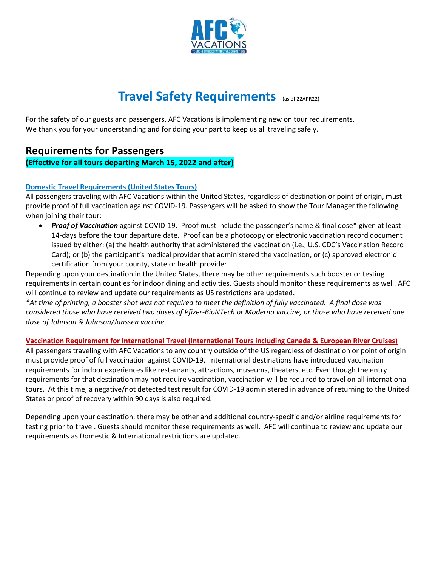

# **Travel Safety Requirements** (as of 22APR22)

For the safety of our guests and passengers, AFC Vacations is implementing new on tour requirements. We thank you for your understanding and for doing your part to keep us all traveling safely.

# **Requirements for Passengers**

# **(Effective for all tours departing March 15, 2022 and after)**

# **Domestic Travel Requirements (United States Tours)**

All passengers traveling with AFC Vacations within the United States, regardless of destination or point of origin, must provide proof of full vaccination against COVID-19. Passengers will be asked to show the Tour Manager the following when joining their tour:

• *Proof of Vaccination* against COVID-19. Proof must include the passenger's name & final dose\* given at least 14-days before the tour departure date. Proof can be a photocopy or electronic vaccination record document issued by either: (a) the health authority that administered the vaccination (i.e., U.S. CDC's Vaccination Record Card); or (b) the participant's medical provider that administered the vaccination, or (c) approved electronic certification from your county, state or health provider.

Depending upon your destination in the United States, there may be other requirements such booster or testing requirements in certain counties for indoor dining and activities. Guests should monitor these requirements as well. AFC will continue to review and update our requirements as US restrictions are updated.

*\*At time of printing, a booster shot was not required to meet the definition of fully vaccinated. A final dose was considered those who have received two doses of Pfizer-BioNTech or Moderna vaccine, or those who have received one dose of Johnson & Johnson/Janssen vaccine.*

#### **Vaccination Requirement for International Travel (International Tours including Canada & European River Cruises)**

All passengers traveling with AFC Vacations to any country outside of the US regardless of destination or point of origin must provide proof of full vaccination against COVID-19. International destinations have introduced vaccination requirements for indoor experiences like restaurants, attractions, museums, theaters, etc. Even though the entry requirements for that destination may not require vaccination, vaccination will be required to travel on all international tours. At this time, a negative/not detected test result for COVID-19 administered in advance of returning to the United States or proof of recovery within 90 days is also required.

Depending upon your destination, there may be other and additional country-specific and/or airline requirements for testing prior to travel. Guests should monitor these requirements as well. AFC will continue to review and update our requirements as Domestic & International restrictions are updated.